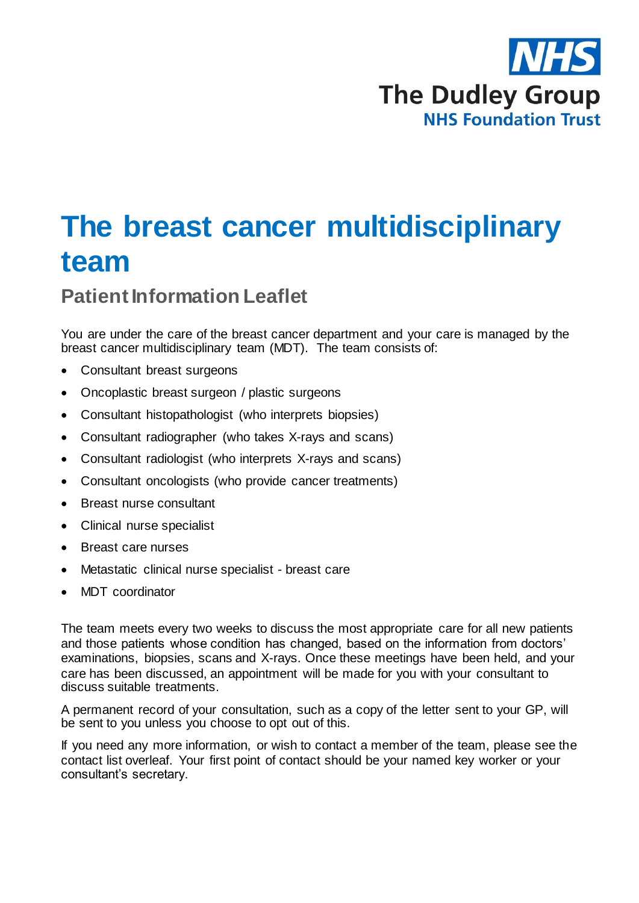

## **The breast cancer multidisciplinary team**

## **Patient Information Leaflet**

You are under the care of the breast cancer department and your care is managed by the breast cancer multidisciplinary team (MDT). The team consists of:

- Consultant breast surgeons
- Oncoplastic breast surgeon / plastic surgeons
- Consultant histopathologist (who interprets biopsies)
- Consultant radiographer (who takes X-rays and scans)
- Consultant radiologist (who interprets X-rays and scans)
- Consultant oncologists (who provide cancer treatments)
- Breast nurse consultant
- Clinical nurse specialist
- Breast care nurses
- Metastatic clinical nurse specialist breast care
- MDT coordinator

The team meets every two weeks to discuss the most appropriate care for all new patients and those patients whose condition has changed, based on the information from doctors' examinations, biopsies, scans and X-rays. Once these meetings have been held, and your care has been discussed, an appointment will be made for you with your consultant to discuss suitable treatments.

A permanent record of your consultation, such as a copy of the letter sent to your GP, will be sent to you unless you choose to opt out of this.

If you need any more information, or wish to contact a member of the team, please see the contact list overleaf. Your first point of contact should be your named key worker or your consultant's secretary.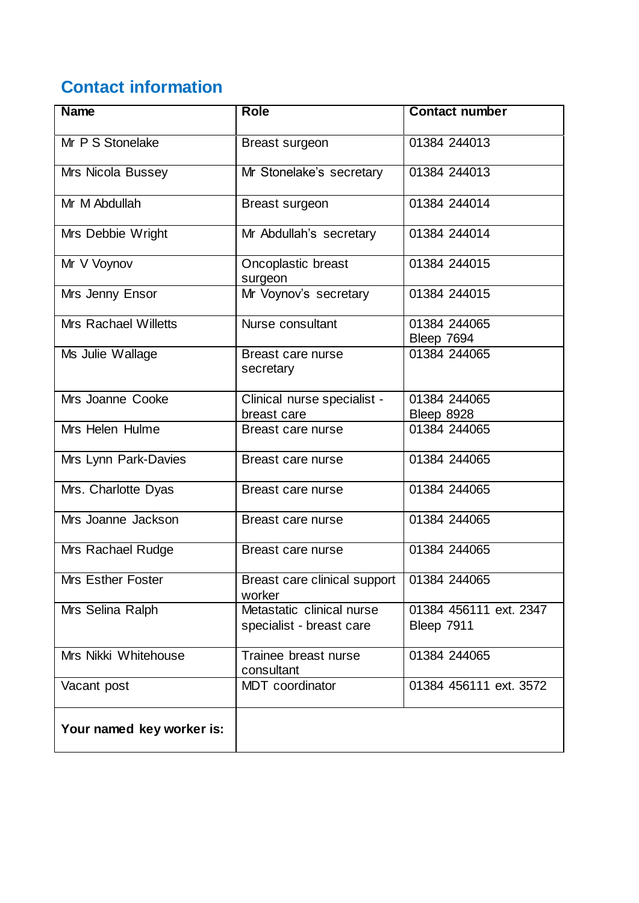## **Contact information**

| <b>Name</b>                 | <b>Role</b>                                           | <b>Contact number</b>                |  |
|-----------------------------|-------------------------------------------------------|--------------------------------------|--|
| Mr P S Stonelake            | Breast surgeon                                        | 01384 244013                         |  |
| Mrs Nicola Bussey           | Mr Stonelake's secretary                              | 01384 244013                         |  |
| Mr M Abdullah               | Breast surgeon                                        | 01384 244014                         |  |
| Mrs Debbie Wright           | Mr Abdullah's secretary                               | 01384 244014                         |  |
| Mr V Voynov                 | Oncoplastic breast<br>surgeon                         | 01384 244015                         |  |
| Mrs Jenny Ensor             | Mr Voynov's secretary                                 | 01384 244015                         |  |
| <b>Mrs Rachael Willetts</b> | Nurse consultant                                      | 01384 244065<br>Bleep 7694           |  |
| Ms Julie Wallage            | Breast care nurse<br>secretary                        | 01384 244065                         |  |
| Mrs Joanne Cooke            | Clinical nurse specialist -<br>breast care            | 01384 244065<br>Bleep 8928           |  |
| Mrs Helen Hulme             | Breast care nurse                                     | 01384 244065                         |  |
| Mrs Lynn Park-Davies        | Breast care nurse                                     | 01384 244065                         |  |
| Mrs. Charlotte Dyas         | Breast care nurse                                     | 01384 244065                         |  |
| Mrs Joanne Jackson          | Breast care nurse                                     | 01384 244065                         |  |
| Mrs Rachael Rudge           | Breast care nurse                                     | 01384 244065                         |  |
| Mrs Esther Foster           | Breast care clinical support<br>worker                | 01384 244065                         |  |
| Mrs Selina Ralph            | Metastatic clinical nurse<br>specialist - breast care | 01384 456111 ext. 2347<br>Bleep 7911 |  |
| Mrs Nikki Whitehouse        | 01384 244065<br>Trainee breast nurse<br>consultant    |                                      |  |
| Vacant post                 | MDT coordinator<br>01384 456111 ext. 3572             |                                      |  |
| Your named key worker is:   |                                                       |                                      |  |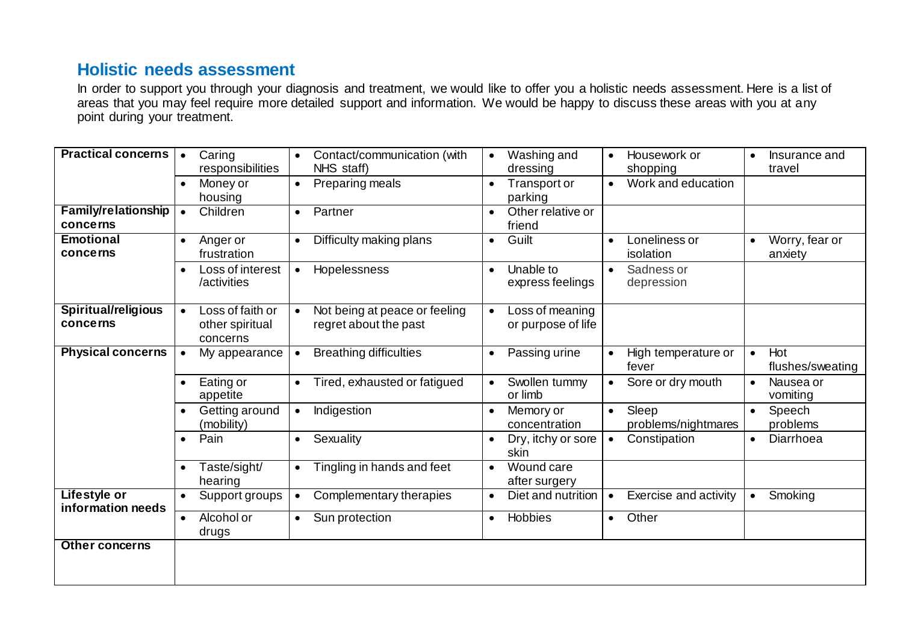## **Holistic needs assessment**

In order to support you through your diagnosis and treatment, we would like to offer you a holistic needs assessment. Here is a list of areas that you may feel require more detailed support and information. We would be happy to discuss these areas with you at any point during your treatment.

| <b>Practical concerns</b>                | Caring<br>$\bullet$<br>responsibilities                      | Contact/communication (with<br>$\bullet$<br>NHS staff)              | Washing and<br>Housework or<br>$\bullet$<br>$\bullet$<br>shopping<br>dressing        | Insurance and<br>$\bullet$<br>travel |
|------------------------------------------|--------------------------------------------------------------|---------------------------------------------------------------------|--------------------------------------------------------------------------------------|--------------------------------------|
|                                          | Money or<br>housing                                          | Preparing meals<br>$\bullet$                                        | Work and education<br>Transport or<br>parking                                        |                                      |
| <b>Family/relationship</b><br>concerns   | Children<br>$\bullet$                                        | Partner<br>$\bullet$                                                | Other relative or<br>friend                                                          |                                      |
| <b>Emotional</b><br>concerns             | Anger or<br>$\bullet$<br>frustration                         | Difficulty making plans<br>$\bullet$                                | Guilt<br>Loneliness or<br>$\bullet$<br>$\bullet$<br>isolation                        | Worry, fear or<br>anxiety            |
|                                          | Loss of interest<br>$\bullet$<br>/activities                 | Hopelessness<br>$\bullet$                                           | Unable to<br>Sadness or<br>$\bullet$<br>$\bullet$<br>express feelings<br>depression  |                                      |
| Spiritual/religious<br>concerns          | Loss of faith or<br>$\bullet$<br>other spiritual<br>concerns | Not being at peace or feeling<br>$\bullet$<br>regret about the past | Loss of meaning<br>$\bullet$<br>or purpose of life                                   |                                      |
| <b>Physical concerns</b>                 | My appearance<br>$\bullet$                                   | <b>Breathing difficulties</b><br>$\bullet$                          | Passing urine<br>High temperature or<br>$\bullet$<br>fever                           | Hot<br>$\bullet$<br>flushes/sweating |
|                                          | Eating or<br>appetite                                        | Tired, exhausted or fatigued<br>$\bullet$                           | Swollen tummy<br>Sore or dry mouth<br>$\bullet$<br>or limb                           | Nausea or<br>$\bullet$<br>vomiting   |
|                                          | Getting around<br>(mobility)                                 | Indigestion<br>$\bullet$                                            | Sleep<br>Memory or<br>$\bullet$<br>$\bullet$<br>problems/nightmares<br>concentration | Speech<br>problems                   |
|                                          | Pain<br>$\bullet$                                            | Sexuality<br>$\bullet$                                              | Dry, itchy or sore<br>Constipation<br>$\bullet$<br>skin                              | Diarrhoea<br>$\bullet$               |
|                                          | Taste/sight/<br>hearing                                      | Tingling in hands and feet<br>$\bullet$                             | Wound care<br>$\bullet$<br>after surgery                                             |                                      |
| <b>Lifestyle or</b><br>information needs | Support groups<br>$\bullet$                                  | Complementary therapies<br>$\bullet$                                | Diet and nutrition<br>Exercise and activity<br>$\bullet$                             | Smoking<br>$\bullet$                 |
|                                          | Alcohol or<br>$\bullet$<br>drugs                             | Sun protection<br>$\bullet$                                         | Hobbies<br>Other<br>$\bullet$<br>$\bullet$                                           |                                      |
| <b>Other concerns</b>                    |                                                              |                                                                     |                                                                                      |                                      |